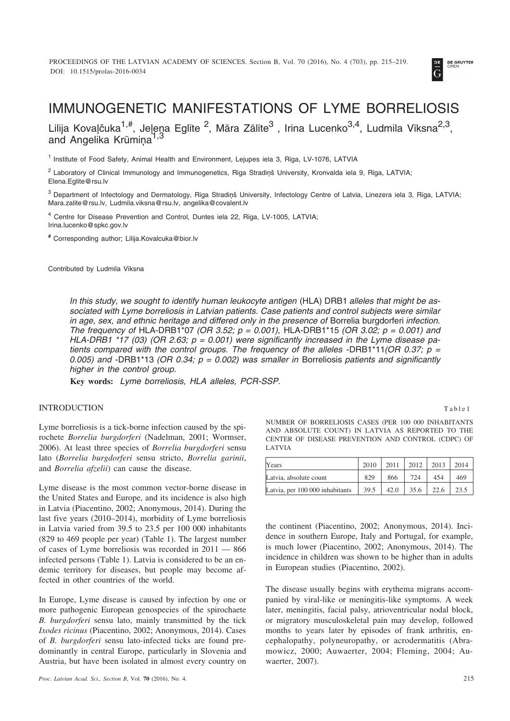

# IMMUNOGENETIC MANIFESTATIONS OF LYME BORRELIOSIS

Lilija Kovaļčuka<sup>1,#</sup>, Jeļeņa Eglīte <sup>2</sup>, Māra Zālīte<sup>3</sup> , Irina Lucenko<sup>3,4</sup>, Ludmila Vīksna<sup>2,3</sup>, and Angelika Krūmina<sup>1,3</sup>

<sup>1</sup> Institute of Food Safety, Animal Health and Environment, Leiupes iela 3, Rīga, LV-1076, LATVIA

 $2$  Laboratory of Clinical Immunology and Immunogenetics, Rīga Stradiņš University, Kronvalda iela 9, Rīga, LATVIA; Elena.Eglite@rsu.lv

<sup>3</sup> Department of Infectology and Dermatology, Rīga Stradiņš University, Infectology Centre of Latvia, Linezera iela 3, Rīga, LATVIA; Mara.zalite@rsu.lv, Ludmila.viksna@rsu.lv, angelika@covalent.lv

<sup>4</sup> Centre for Disease Prevention and Control, Duntes iela 22, Rîga, LV-1005, LATVIA; Irina.lucenko@spkc.gov.lv

**#** Corresponding author; Lilija.Kovalcuka@bior.lv

Contributed by Ludmila Vîksna

*In this study, we sought to identify human leukocyte antigen* (HLA) DRB1 *alleles that might be associated with Lyme borreliosis in Latvian patients. Case patients and control subjects were similar in age, sex, and ethnic heritage and differed only in the presence of* Borrelia burgdorferi *infection. The frequency of* HLA-DRB1\*07 *(OR 3.52; p = 0.001),* HLA-DRB1\*15 *(OR 3.02; p = 0.001) and HLA-DRB1 \*17 (03) (OR 2.63; p = 0.001) were significantly increased in the Lyme disease patients compared with the control groups. The frequency of the alleles -*DRB1\*11*(OR 0.37; p = 0.005) and -*DRB1\*13 *(OR 0.34; p = 0.002) was smaller in* Borreliosis *patients and significantly higher in the control group.*

**Key words:** *Lyme borreliosis, HLA alleles, PCR-SSP.*

## **INTRODUCTION**

Lyme borreliosis is a tick-borne infection caused by the spirochete *Borrelia burgdorferi* (Nadelman, 2001; Wormser, 2006). At least three species of *Borrelia burgdorferi* sensu lato (*Borrelia burgdorferi* sensu stricto, *Borrelia garinii*, and *Borrelia afzelii*) can cause the disease.

Lyme disease is the most common vector-borne disease in the United States and Europe, and its incidence is also high in Latvia (Piacentino, 2002; Anonymous, 2014). During the last five years (2010–2014), morbidity of Lyme borreliosis in Latvia varied from 39.5 to 23.5 per 100 000 inhabitants (829 to 469 people per year) (Table 1). The largest number of cases of Lyme borreliosis was recorded in 2011 — 866 infected persons (Table 1). Latvia is considered to be an endemic territory for diseases, but people may become affected in other countries of the world.

In Europe, Lyme disease is caused by infection by one or more pathogenic European genospecies of the spirochaete *B. burgdorferi* sensu lato, mainly transmitted by the tick *Ixodes ricinus* (Piacentino, 2002; Anonymous, 2014). Cases of *B. burgdorferi* sensu lato-infected ticks are found predominantly in central Europe, particularly in Slovenia and Austria, but have been isolated in almost every country on NUMBER OF BORRELIOSIS CASES (PER 100 000 INHABITANTS AND ABSOLUTE COUNT) IN LATVIA AS REPORTED TO THE CENTER OF DISEASE PREVENTION AND CONTROL (CDPC) OF LATVIA

| Years                           | 2010 | 2011 | 2012 | 2013 | 2014 |
|---------------------------------|------|------|------|------|------|
| Latvia, absolute count          | 829  | 866  | 724  | 454  | 469  |
| Latvia, per 100 000 inhabitants | 39.5 | 42.0 | 35.6 | 22.6 |      |

the continent (Piacentino, 2002; Anonymous, 2014). Incidence in southern Europe, Italy and Portugal, for example, is much lower (Piacentino, 2002; Anonymous, 2014). The incidence in children was shown to be higher than in adults in European studies (Piacentino, 2002).

The disease usually begins with erythema migrans accompanied by viral-like or meningitis-like symptoms. A week later, meningitis, facial palsy, atrioventricular nodal block, or migratory musculoskeletal pain may develop, followed months to years later by episodes of frank arthritis, encephalopathy, polyneuropathy, or acrodermatitis (Abramowicz, 2000; Auwaerter, 2004; Fleming, 2004; Auwaerter, 2007).

Table1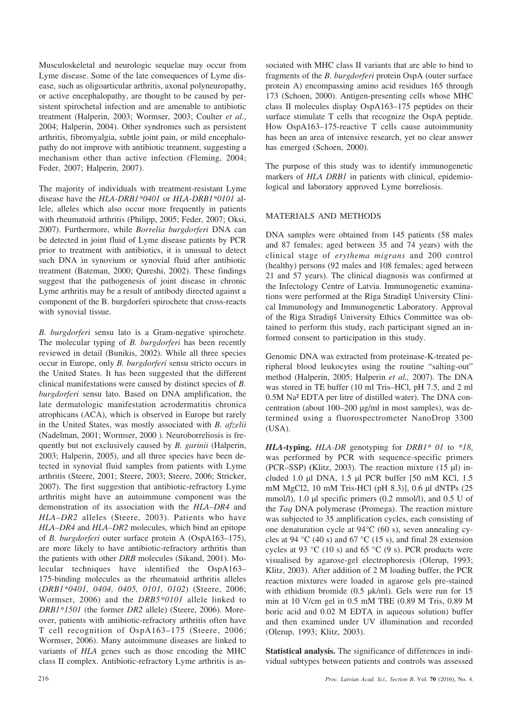Musculoskeletal and neurologic sequelae may occur from Lyme disease. Some of the late consequences of Lyme disease, such as oligoarticular arthritis, axonal polyneuropathy, or active encephalopathy, are thought to be caused by persistent spirochetal infection and are amenable to antibiotic treatment (Halperin, 2003; Wormser, 2003; Coulter *et al.*, 2004; Halperin, 2004). Other syndromes such as persistent arthritis, fibromyalgia, subtle joint pain, or mild encephalopathy do not improve with antibiotic treatment, suggesting a mechanism other than active infection (Fleming, 2004; Feder, 2007; Halperin, 2007).

The majority of individuals with treatment-resistant Lyme disease have the *HLA-DRB1\*0401* or *HLA-DRB1\*0101* allele, alleles which also occur more frequently in patients with rheumatoid arthritis (Philipp, 2005; Feder, 2007; Oksi, 2007). Furthermore, while *Borrelia burgdorferi* DNA can be detected in joint fluid of Lyme disease patients by PCR prior to treatment with antibiotics, it is unusual to detect such DNA in synovium or synovial fluid after antibiotic treatment (Bateman, 2000; Qureshi, 2002). These findings suggest that the pathogenesis of joint disease in chronic Lyme arthritis may be a result of antibody directed against a component of the B. burgdorferi spirochete that cross-reacts with synovial tissue.

*B. burgdorferi* sensu lato is a Gram-negative spirochete. The molecular typing of *B. burgdorferi* has been recently reviewed in detail (Bunikis, 2002). While all three species occur in Europe, only *B. burgdorferi* sensu stricto occurs in the United States. It has been suggested that the different clinical manifestations were caused by distinct species of *B. burgdorferi* sensu lato. Based on DNA amplification, the late dermatologic manifestation acrodermatitis chronica atrophicans (ACA), which is observed in Europe but rarely in the United States, was mostly associated with *B. afzelii* (Nadelman, 2001; Wormser, 2000 ). Neuroborreliosis is frequently but not exclusively caused by *B. garinii* (Halperin, 2003; Halperin, 2005), and all three species have been detected in synovial fluid samples from patients with Lyme arthritis (Steere, 2001; Steere, 2003; Steere, 2006; Stricker, 2007). The first suggestion that antibiotic-refractory Lyme arthritis might have an autoimmune component was the demonstration of its association with the *HLA–DR4* and *HLA–DR2* alleles (Steere, 2003). Patients who have *HLA–DR4* and *HLA–DR2* molecules, which bind an epitope of *B. burgdorferi* outer surface protein A (OspA163–175), are more likely to have antibiotic-refractory arthritis than the patients with other *DRB* molecules (Sikand, 2001). Molecular techniques have identified the OspA163– 175-binding molecules as the rheumatoid arthritis alleles (*DRB1\*0401, 0404, 0405, 0101, 0102*) (Steere, 2006; Wormser, 2006) and the *DRB5\*0101* allele linked to *DRB1\*1501* (the former *DR2* allele) (Steere, 2006). Moreover, patients with antibiotic-refractory arthritis often have T cell recognition of OspA163–175 (Steere, 2006; Wormser, 2006). Many autoimmune diseases are linked to variants of *HLA* genes such as those encoding the MHC class II complex. Antibiotic-refractory Lyme arthritis is associated with MHC class II variants that are able to bind to fragments of the *B. burgdorferi* protein OspA (outer surface protein A) encompassing amino acid residues 165 through 173 (Schoen, 2000). Antigen-presenting cells whose MHC class II molecules display OspA163–175 peptides on their surface stimulate T cells that recognize the OspA peptide. How OspA163–175-reactive T cells cause autoimmunity has been an area of intensive research, yet no clear answer has emerged (Schoen, 2000).

The purpose of this study was to identify immunogenetic markers of *HLA DRB1* in patients with clinical, epidemiological and laboratory approved Lyme borreliosis.

## MATERIALS AND METHODS

DNA samples were obtained from 145 patients (58 males and 87 females; aged between 35 and 74 years) with the clinical stage of *erythema migrans* and 200 control (healthy) persons (92 males and 108 females; aged between 21 and 57 years). The clinical diagnosis was confirmed at the Infectology Centre of Latvia. Immunogenetic examinations were performed at the Rīga Stradiņš University Clinical Immunology and Immunogenetic Laboratory. Approval of the Rîga Stradiòð University Ethics Committee was obtained to perform this study, each participant signed an informed consent to participation in this study.

Genomic DNA was extracted from proteinase-K-treated peripheral blood leukocytes using the routine "salting-out" method (Halperin, 2005; Halperin *et al.,* 2007). The DNA was stored in TE buffer (10 ml Tris–HCl, pH 7.5, and 2 ml 0.5M Na² EDTA per litre of distilled water). The DNA concentration (about 100–200 µg/ml in most samples), was determined using a fluorospectrometer NanoDrop 3300 (USA).

*HLA***-typing.** *HLA-DR* genotyping for *DRB1\* 01* to *\*18*, was performed by PCR with sequence-specific primers (PCR–SSP) **(**Klitz, 2003). The reaction mixture (15 µl) included 1.0 µl DNA, 1.5 µl PCR buffer [50 mM KCl, 1.5 mM MgCl2, 10 mM Tris-HCl (pH 8.3)], 0.6 µl dNTPs (25 mmol/l), 1.0 µl specific primers (0.2 mmol/l), and 0.5 U of the *Taq* DNA polymerase (Promega). The reaction mixture was subjected to 35 amplification cycles, each consisting of one denaturation cycle at 94°C (60 s), seven annealing cycles at 94 °C (40 s) and 67 °C (15 s), and final 28 extension cycles at 93 °C (10 s) and 65 °C (9 s). PCR products were visualised by agarose-gel electrophoresis (Olerup, 1993; Klitz, 2003). After addition of 2 M loading buffer, the PCR reaction mixtures were loaded in agarose gels pre-stained with ethidium bromide (0.5  $\mu$ k/ml). Gels were run for 15 min at 10 V/cm gel in 0.5 mM TBE (0.89 M Tris, 0.89 M boric acid and 0.02 M EDTA in aqueous solution) buffer and then examined under UV illumination and recorded (Olerup, 1993; Klitz, 2003).

**Statistical analysis.** The significance of differences in individual subtypes between patients and controls was assessed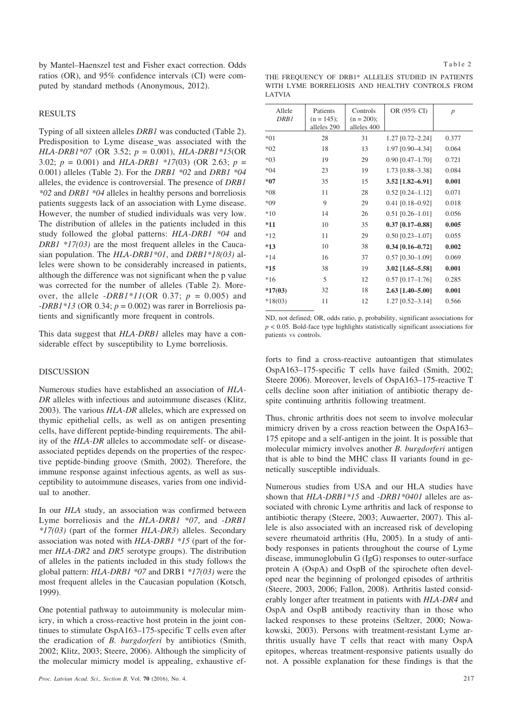by Mantel–Haenszel test and Fisher exact correction. Odds ratios (OR), and 95% confidence intervals (CI) were computed by standard methods (Anonymous, 2012).

### RESULTS

Typing of all sixteen alleles *DRB1* was conducted (Table 2). Predisposition to Lyme disease was associated with the *HLA-DRB1\*07* (OR 3.52; *p* = 0.001), *HLA-DRB1\*15*(OR 3.02; *p* = 0.001) and *HLA-DRB1 \*17*(03) (OR 2.63; *p* = 0.001) alleles (Table 2). For the *DRB1 \*02* and *DRB1 \*04* alleles, the evidence is controversial. The presence of *DRB1 \*02* and *DRB1 \*04* alleles in healthy persons and borreliosis patients suggests lack of an association with Lyme disease. However, the number of studied individuals was very low. The distribution of alleles in the patients included in this study followed the global patterns: *HLA-DRB1 \*04* and *DRB1 \*17(03)* are the most frequent alleles in the Caucasian population. The *HLA-DRB1\*01*, and *DRB1\*18(03)* alleles were shown to be considerably increased in patients, although the difference was not significant when the p value was corrected for the number of alleles (Table 2). Moreover, the allele  $-DRBI*1I(OR 0.37; p = 0.005)$  and -*DRB1\*13* (OR 0.34; *p* = 0.002) was rarer in Borreliosis patients and significantly more frequent in controls.

This data suggest that *HLA-DRB1* alleles may have a considerable effect by susceptibility to Lyme borreliosis.

#### DISCUSSION

Numerous studies have established an association of *HLA-DR* alleles with infectious and autoimmune diseases (Klitz, 2003). The various *HLA-DR* alleles, which are expressed on thymic epithelial cells, as well as on antigen presenting cells, have different peptide-binding requirements. The ability of the *HLA-DR* alleles to accommodate self- or diseaseassociated peptides depends on the properties of the respective peptide-binding groove (Smith, 2002). Therefore, the immune response against infectious agents, as well as susceptibility to autoimmune diseases, varies from one individual to another.

In our *HLA* study, an association was confirmed between Lyme borreliosis and the *HLA-DRB1 \*07*, and -*DRB1 \*17(03)* (part of the former *HLA-DR3*) alleles. Secondary association was noted with *HLA-DRB1 \*15* (part of the former *HLA-DR2* and *DR5* serotype groups). The distribution of alleles in the patients included in this study follows the global pattern: *HLA-DRB1 \*07* and DRB1 *\*17(03)* were the most frequent alleles in the Caucasian population (Kotsch, 1999).

One potential pathway to autoimmunity is molecular mimicry, in which a cross-reactive host protein in the joint continues to stimulate OspA163–175-specific T cells even after the eradication of *B. burgdorferi* by antibiotics (Smith, 2002; Klitz, 2003; Steere, 2006). Although the simplicity of the molecular mimicry model is appealing, exhaustive ef-

|        | THE FREQUENCY OF DRB1* ALLELES STUDIED IN PATIENTS |  |  |  |  |  |  |
|--------|----------------------------------------------------|--|--|--|--|--|--|
|        | WITH LYME BORRELIOSIS AND HEALTHY CONTROLS FROM    |  |  |  |  |  |  |
| LATVIA |                                                    |  |  |  |  |  |  |

| Allele<br>DRB1 | Patients<br>$(n = 145)$ ;<br>alleles 290 | Controls<br>$(n = 200)$ ;<br>alleles 400 | OR (95% CI)            | $\boldsymbol{p}$ |
|----------------|------------------------------------------|------------------------------------------|------------------------|------------------|
| $*01$          | 28                                       | 31                                       | 1.27 [0.72-2.24]       | 0.377            |
| $*02$          | 18                                       | 13                                       | 1.97 [0.90-4.34]       | 0.064            |
| $*03$          | 19                                       | 29                                       | $0.90$ $[0.47 - 1.70]$ | 0.721            |
| $*04$          | 23                                       | 19                                       | 1.73 [0.88-3.38]       | 0.084            |
| $*07$          | 35                                       | 15                                       | $3.52$ [1.82-6.91]     | 0.001            |
| $*08$          | 11                                       | 28                                       | $0.52$ [0.24-1.12]     | 0.071            |
| $*09$          | 9                                        | 29                                       | $0.41$ [0.18-0.92]     | 0.018            |
| $*10$          | 14                                       | 26                                       | $0.51$ [0.26-1.01]     | 0.056            |
| $*11$          | 10                                       | 35                                       | $0.37$ [0.17-0.88]     | 0.005            |
| $*12$          | 11                                       | 29                                       | $0.50$ $[0.23 - 1.07]$ | 0.055            |
| $*13$          | 10                                       | 38                                       | $0.34$ [0.16-0.72]     | 0.002            |
| $*14$          | 16                                       | 37                                       | $0.57$ [0.30-1.09]     | 0.069            |
| $*15$          | 38                                       | 19                                       | $3.02$ [1.65-5.58]     | 0.001            |
| $*16$          | 5                                        | 12                                       | $0.57$ [0.17-1.76]     | 0.285            |
| $*17(03)$      | 32                                       | 18                                       | $2.63$ [1.40-5.00]     | 0.001            |
| $*18(03)$      | 11                                       | 12                                       | $1.27$ [0.52-3.14]     | 0.566            |
|                |                                          |                                          |                        |                  |

ND, not defined; OR, odds ratio, p, probability, significant associations for  $p < 0.05$ . Bold-face type highlights statistically significant associations for patients vs controls.

forts to find a cross-reactive autoantigen that stimulates OspA163–175-specific T cells have failed (Smith, 2002; Steere 2006). Moreover, levels of OspA163–175-reactive T cells decline soon after initiation of antibiotic therapy despite continuing arthritis following treatment.

Thus, chronic arthritis does not seem to involve molecular mimicry driven by a cross reaction between the OspA163– 175 epitope and a self-antigen in the joint. It is possible that molecular mimicry involves another *B. burgdorferi* antigen that is able to bind the MHC class II variants found in genetically susceptible individuals.

Numerous studies from USA and our HLA studies have shown that *HLA-DRB1\*15* and -*DRB1\*0401* alleles are associated with chronic Lyme arthritis and lack of response to antibiotic therapy (Steere, 2003; Auwaerter, 2007). This allele is also associated with an increased risk of developing severe rheumatoid arthritis (Hu, 2005). In a study of antibody responses in patients throughout the course of Lyme disease, immunoglobulin G (IgG) responses to outer-surface protein A (OspA) and OspB of the spirochete often developed near the beginning of prolonged episodes of arthritis (Steere, 2003, 2006; Fallon, 2008). Arthritis lasted considerably longer after treatment in patients with *HLA-DR4* and OspA and OspB antibody reactivity than in those who lacked responses to these proteins (Seltzer, 2000; Nowakowski, 2003). Persons with treatment-resistant Lyme arthritis usually have T cells that react with many OspA epitopes, whereas treatment-responsive patients usually do not. A possible explanation for these findings is that the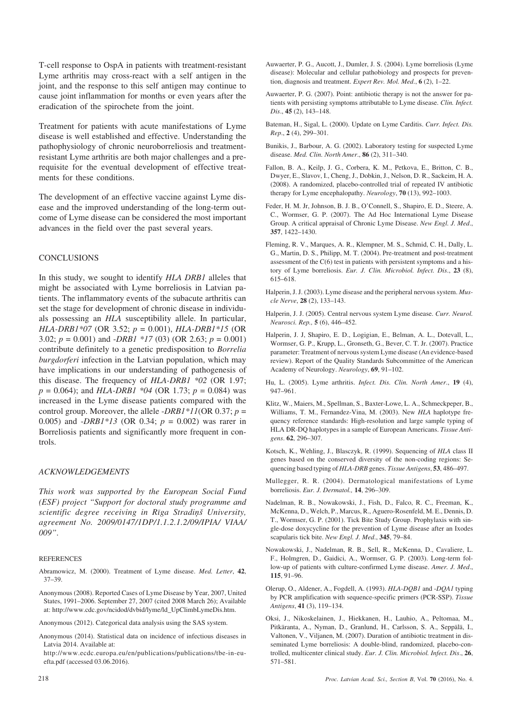T-cell response to OspA in patients with treatment-resistant Lyme arthritis may cross-react with a self antigen in the joint, and the response to this self antigen may continue to cause joint inflammation for months or even years after the eradication of the spirochete from the joint.

Treatment for patients with acute manifestations of Lyme disease is well established and effective. Understanding the pathophysiology of chronic neuroborreliosis and treatmentresistant Lyme arthritis are both major challenges and a prerequisite for the eventual development of effective treatments for these conditions.

The development of an effective vaccine against Lyme disease and the improved understanding of the long-term outcome of Lyme disease can be considered the most important advances in the field over the past several years.

## **CONCLUSIONS**

In this study, we sought to identify *HLA DRB1* alleles that might be associated with Lyme borreliosis in Latvian patients. The inflammatory events of the subacute arthritis can set the stage for development of chronic disease in individuals possessing an *HLA* susceptibility allele. In particular, *HLA-DRB1\*07* (OR 3.52; *p* = 0.001), *HLA-DRB1\*15* (OR 3.02; *p* = 0.001) and -*DRB1 \*17* (03) (OR 2.63; *p* = 0.001) contribute definitely to a genetic predisposition to *Borrelia burgdorferi* infection in the Latvian population, which may have implications in our understanding of pathogenesis of this disease. The frequency of *HLA-DRB1 \*02* (OR 1.97; *p* = 0.064); and *HLA-DRB1 \*04* (OR 1.73; *p* = 0.084) was increased in the Lyme disease patients compared with the control group. Moreover, the allele -*DRB1\*11*(OR 0.37; *p* = 0.005) and -*DRB1\*13* (OR 0.34; *p* = 0.002) was rarer in Borreliosis patients and significantly more frequent in controls.

#### *ACKNOWLEDGEMENTS*

*This work was supported by the European Social Fund (ESF) project "Support for doctoral study programme and* scientific degree receiving in Rīga Stradiņš University, *agreement No. 2009/0147/1DP/1.1.2.1.2/09/IPIA/ VIAA/ 009"*.

#### **REFERENCES**

- Abramowicz, M. (2000). Treatment of Lyme disease. *Med. Letter*, **42**, 37–39.
- Anonymous (2008). Reported Cases of Lyme Disease by Year, 2007, United States, 1991–2006. September 27, 2007 (cited 2008 March 26); Available at: http://www.cdc.gov/ncidod/dvbid/lyme/ld\_UpClimbLymeDis.htm.
- Anonymous (2012). Categorical data analysis using the SAS system.
- Anonymous (2014). Statistical data on incidence of infectious diseases in Latvia 2014. Available at:
- http://www.ecdc.europa.eu/en/publications/publications/tbe-in-euefta.pdf (accessed 03.06.2016).
- Auwaerter, P. G., Aucott, J., Dumler, J. S. (2004). Lyme borreliosis (Lyme disease): Molecular and cellular pathobiology and prospects for prevention, diagnosis and treatment. *Expert Rev. Mol. Med*., **6** (2), 1–22.
- Auwaerter, P. G. (2007). Point: antibiotic therapy is not the answer for patients with persisting symptoms attributable to Lyme disease. *Clin. Infect. Dis*., **45** (2), 143–148.
- Bateman, H., Sigal, L. (2000). Update on Lyme Carditis. *Curr. Infect. Dis. Rep*., **2** (4), 299–301.
- Bunikis, J., Barbour, A. G. (2002). Laboratory testing for suspected Lyme disease. *Med. Clin. North Amer*., **86** (2), 311–340.
- Fallon, B. A., Keilp, J. G., Corbera, K. M., Petkova, E., Britton, C. B., Dwyer, E., Slavov, I., Cheng, J., Dobkin, J., Nelson, D. R., Sackeim, H. A. (2008). A randomized, placebo-controlled trial of repeated IV antibiotic therapy for Lyme encephalopathy. *Neurology*, **70** (13), 992–1003.
- Feder, H. M. Jr, Johnson, B. J. B., O'Connell, S., Shapiro, E. D., Steere, A. C., Wormser, G. P. (2007). The Ad Hoc International Lyme Disease Group. A critical appraisal of Chronic Lyme Disease. *New Engl. J. Med*., **357**, 1422–1430.
- Fleming, R. V., Marques, A. R., Klempner, M. S., Schmid, C. H., Dally, L. G., Martin, D. S., Philipp, M. T. (2004). Pre-treatment and post-treatment assessment of the  $C(6)$  test in patients with persistent symptoms and a history of Lyme borreliosis. *Eur. J. Clin. Microbiol. Infect. Dis*., **23** (8), 615–618.
- Halperin, J. J. (2003). Lyme disease and the peripheral nervous system. *Muscle Nerve*, **28** (2), 133–143.
- Halperin, J. J. (2005). Central nervous system Lyme disease. *Curr. Neurol. Neurosci. Rep.,* **5** (6), 446–452.
- Halperin, J. J, Shapiro, E. D., Logigian, E., Belman, A. L., Dotevall, L., Wormser, G. P., Krupp, L., Gronseth, G., Bever, C. T. Jr. (2007). Practice parameter: Treatment of nervous system Lyme disease (An evidence-based review). Report of the Quality Standards Subcommittee of the American Academy of Neurology. *Neurology*, **69**, 91–102.
- Hu, L. (2005). Lyme arthritis. *Infect. Dis. Clin. North Amer*., **19** (4), 947–961.
- Klitz, W., Maiers, M., Spellman, S., Baxter-Lowe, L. A., Schmeckpeper, B., Williams, T. M., Fernandez-Vina, M. (2003). New *HLA* haplotype frequency reference standards: High-resolution and large sample typing of HLA DR-DQ haplotypes in a sample of European Americans. *Tissue Antigens*. **62**, 296–307.
- Kotsch, K., Wehling, J., Blasczyk, R. (1999). Sequencing of *HLA* class II genes based on the conserved diversity of the non-coding regions: Sequencing based typing of *HLA-DRB* genes. *Tissue Antigens*, **53**, 486–497.
- Mullegger, R. R. (2004). Dermatological manifestations of Lyme borreliosis. *Eur. J. Dermatol.,* **14**, 296–309.
- Nadelman, R. B., Nowakowski, J., Fish, D., Falco, R. C., Freeman, K., McKenna, D., Welch, P., Marcus, R., Aguero-Rosenfeld, M. E., Dennis, D. T., Wormser, G. P. (2001). Tick Bite Study Group. Prophylaxis with single-dose doxycycline for the prevention of Lyme disease after an Ixodes scapularis tick bite. *New Engl. J. Med*., **345**, 79–84.
- Nowakowski, J., Nadelman, R. B., Sell, R., McKenna, D., Cavaliere, L. F., Holmgren, D., Gaidici, A., Wormser, G. P. (2003). Long-term follow-up of patients with culture-confirmed Lyme disease. *Amer. J. Med*., **115**, 91–96.
- Olerup, O., Aldener, A., Fogdell, A. (1993). *HLA-DQB1* and -*DQA1* typing by PCR amplification with sequence-specific primers (PCR-SSP). *Tissue Antigens*, **41** (3), 119–134.
- Oksi, J., Nikoskelainen, J., Hiekkanen, H., Lauhio, A., Peltomaa, M., Pitkäranta, A., Nyman, D., Granlund, H., Carlsson, S. A., Seppälä, I., Valtonen, V., Viljanen, M. (2007). Duration of antibiotic treatment in disseminated Lyme borreliosis: A double-blind, randomized, placebo-controlled, multicenter clinical study. *Eur. J. Clin. Microbiol. Infect. Dis*., **26**, 571–581.